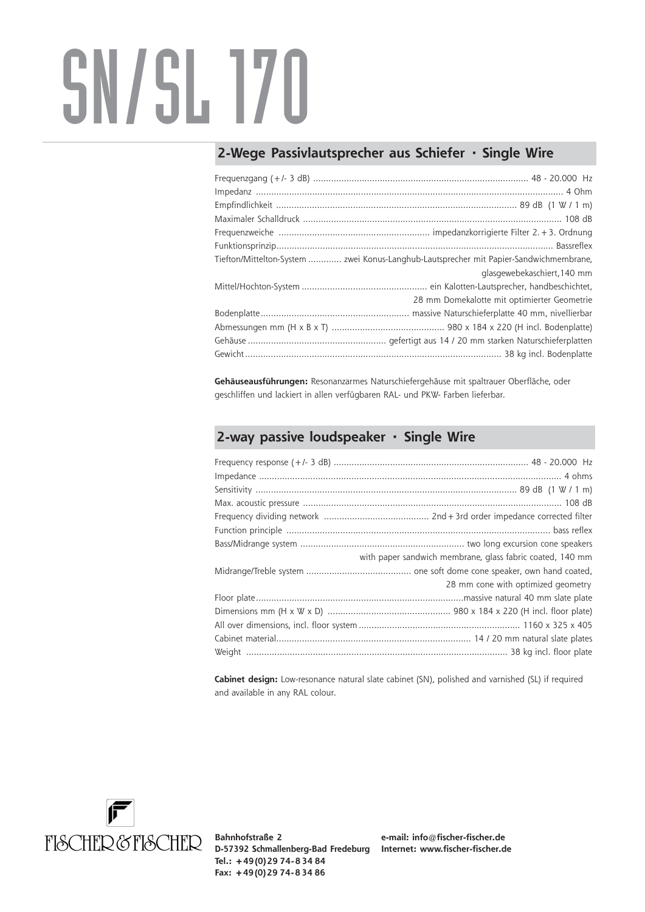## SN/SL 170

## **2-Wege Passivlautsprecher aus Schiefer · Single Wire**

|  | Tiefton/Mittelton-System  zwei Konus-Langhub-Lautsprecher mit Papier-Sandwichmembrane, |
|--|----------------------------------------------------------------------------------------|
|  | glasgewebekaschiert, 140 mm                                                            |
|  |                                                                                        |
|  | 28 mm Domekalotte mit optimierter Geometrie                                            |
|  |                                                                                        |
|  |                                                                                        |
|  |                                                                                        |
|  |                                                                                        |

**Gehäuseausführungen:** Resonanzarmes Naturschiefergehäuse mit spaltrauer Oberfläche, oder geschliffen und lackiert in allen verfügbaren RAL- und PKW- Farben lieferbar.

## **2-way passive loudspeaker · Single Wire**

| with paper sandwich membrane, glass fabric coated, 140 mm |
|-----------------------------------------------------------|
|                                                           |
| 28 mm cone with optimized geometry                        |
|                                                           |
|                                                           |
|                                                           |
|                                                           |
|                                                           |

**Cabinet design:** Low-resonance natural slate cabinet (SN), polished and varnished (SL) if required and available in any RAL colour.



**Bahnhofstraße 2 D-57392 Schmallenberg-Bad Fredeburg Internet: www.fischer-fischer.de Tel.: +49 (0) 29 74- 8 34 84 Fax: +49 (0) 29 74- 8 34 86**

**e-mail: info@fischer-fischer.de**